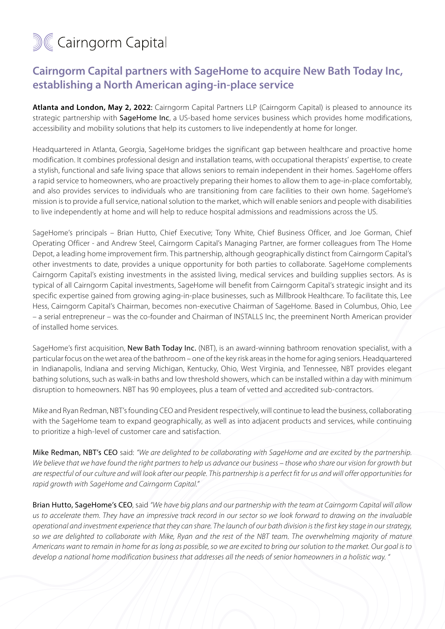## **M&Cairngorm Capital**

## **Cairngorm Capital partners with SageHome to acquire New Bath Today Inc, establishing a North American aging-in-place service**

**Atlanta and London, May 2, 2022**: Cairngorm Capital Partners LLP (Cairngorm Capital) is pleased to announce its strategic partnership with SageHome Inc, a US-based home services business which provides home modifications, accessibility and mobility solutions that help its customers to live independently at home for longer.

Headquartered in Atlanta, Georgia, SageHome bridges the significant gap between healthcare and proactive home modification. It combines professional design and installation teams, with occupational therapists' expertise, to create a stylish, functional and safe living space that allows seniors to remain independent in their homes. SageHome offers a rapid service to homeowners, who are proactively preparing their homes to allow them to age-in-place comfortably, and also provides services to individuals who are transitioning from care facilities to their own home. SageHome's mission is to provide a full service, national solution to the market, which will enable seniors and people with disabilities to live independently at home and will help to reduce hospital admissions and readmissions across the US.

SageHome's principals – Brian Hutto, Chief Executive; Tony White, Chief Business Officer, and Joe Gorman, Chief Operating Officer - and Andrew Steel, Cairngorm Capital's Managing Partner, are former colleagues from The Home Depot, a leading home improvement firm. This partnership, although geographically distinct from Cairngorm Capital's other investments to date, provides a unique opportunity for both parties to collaborate. SageHome complements Cairngorm Capital's existing investments in the assisted living, medical services and building supplies sectors. As is typical of all Cairngorm Capital investments, SageHome will benefit from Cairngorm Capital's strategic insight and its specific expertise gained from growing aging-in-place businesses, such as Millbrook Healthcare. To facilitate this, Lee Hess, Cairngorm Capital's Chairman, becomes non-executive Chairman of SageHome. Based in Columbus, Ohio, Lee – a serial entrepreneur – was the co-founder and Chairman of INSTALLS Inc, the preeminent North American provider of installed home services.

SageHome's first acquisition, New Bath Today Inc. (NBT), is an award-winning bathroom renovation specialist, with a particular focus on the wet area of the bathroom – one of the key risk areas in the home for aging seniors. Headquartered in Indianapolis, Indiana and serving Michigan, Kentucky, Ohio, West Virginia, and Tennessee, NBT provides elegant bathing solutions, such as walk-in baths and low threshold showers, which can be installed within a day with minimum disruption to homeowners. NBT has 90 employees, plus a team of vetted and accredited sub-contractors.

Mike and Ryan Redman, NBT's founding CEO and President respectively, will continue to lead the business, collaborating with the SageHome team to expand geographically, as well as into adjacent products and services, while continuing to prioritize a high-level of customer care and satisfaction.

Mike Redman, NBT's CEO said: *"We are delighted to be collaborating with SageHome and are excited by the partnership. We believe that we have found the right partners to help us advance our business – those who share our vision for growth but are respectful of our culture and will look after our people. This partnership is a perfect fit for us and will offer opportunities for rapid growth with SageHome and Cairngorm Capital."*

Brian Hutto, SageHome's CEO, said *"We have big plans and our partnership with the team at Cairngorm Capital will allow us to accelerate them. They have an impressive track record in our sector so we look forward to drawing on the invaluable operational and investment experience that they can share. The launch of our bath division is the first key stage in our strategy,*  so we are delighted to collaborate with Mike, Ryan and the rest of the NBT team. The overwhelming majority of mature *Americans want to remain in home for as long as possible, so we are excited to bring our solution to the market. Our goal is to develop a national home modification business that addresses all the needs of senior homeowners in a holistic way. "*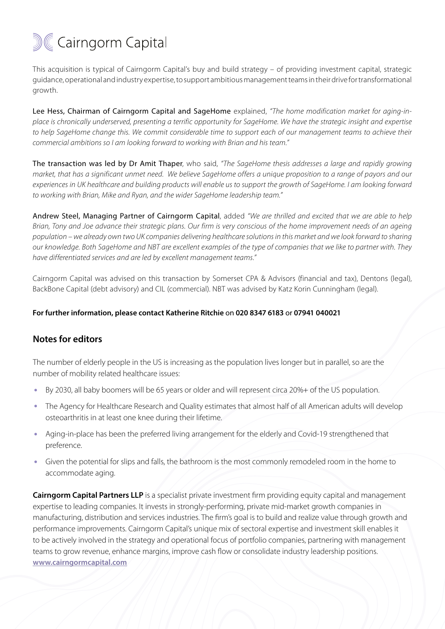

This acquisition is typical of Cairngorm Capital's buy and build strategy – of providing investment capital, strategic guidance, operational and industry expertise, to support ambitious management teams in their drive for transformational growth.

Lee Hess, Chairman of Cairngorm Capital and SageHome explained, "The home modification market for gaing-in*place is chronically underserved, presenting a terrific opportunity for SageHome. We have the strategic insight and expertise*  to help SageHome change this. We commit considerable time to support each of our management teams to achieve their *commercial ambitions so I am looking forward to working with Brian and his team."*

The transaction was led by Dr Amit Thaper, who said, *"The SageHome thesis addresses a large and rapidly growing market, that has a significant unmet need. We believe SageHome offers a unique proposition to a range of payors and our experiences in UK healthcare and building products will enable us to support the growth of SageHome. I am looking forward to working with Brian, Mike and Ryan, and the wider SageHome leadership team."* 

Andrew Steel, Managing Partner of Cairngorm Capital, added *"We are thrilled and excited that we are able to help Brian, Tony and Joe advance their strategic plans. Our firm is very conscious of the home improvement needs of an ageing population – we already own two UK companies delivering healthcare solutions in this market and we look forward to sharing our knowledge. Both SageHome and NBT are excellent examples of the type of companies that we like to partner with. They have differentiated services and are led by excellent management teams."*

Cairngorm Capital was advised on this transaction by Somerset CPA & Advisors (financial and tax), Dentons (legal), BackBone Capital (debt advisory) and CIL (commercial). NBT was advised by Katz Korin Cunningham (legal).

## **For further information, please contact Katherine Ritchie** on **020 8347 6183** or **07941 040021**

## **Notes for editors**

The number of elderly people in the US is increasing as the population lives longer but in parallel, so are the number of mobility related healthcare issues:

- By 2030, all baby boomers will be 65 years or older and will represent circa 20%+ of the US population. **•**
- The Agency for Healthcare Research and Quality estimates that almost half of all American adults will develop osteoarthritis in at least one knee during their lifetime. **•**
- Aging-in-place has been the preferred living arrangement for the elderly and Covid-19 strengthened that preference. **•**
- Given the potential for slips and falls, the bathroom is the most commonly remodeled room in the home to accommodate aging. **•**

**Cairngorm Capital Partners LLP** is a specialist private investment firm providing equity capital and management expertise to leading companies. It invests in strongly-performing, private mid-market growth companies in manufacturing, distribution and services industries. The firm's goal is to build and realize value through growth and performance improvements. Cairngorm Capital's unique mix of sectoral expertise and investment skill enables it to be actively involved in the strategy and operational focus of portfolio companies, partnering with management teams to grow revenue, enhance margins, improve cash flow or consolidate industry leadership positions. **[www.cairngormcapital.com](https://www.cairngormcapital.com)**